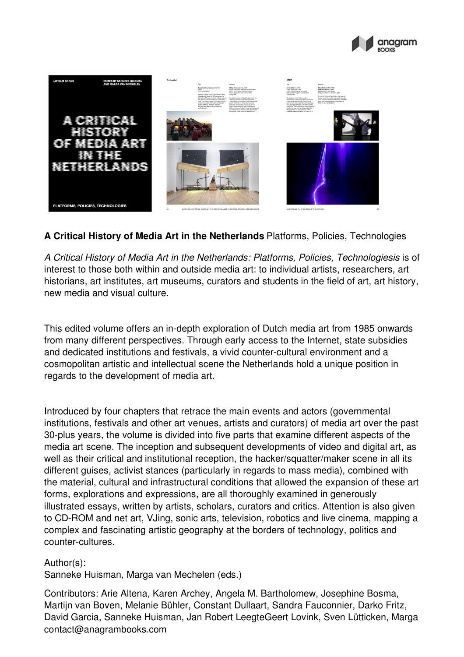



## **A Critical History of Media Art in the Netherlands** Platforms, Policies, Technologies

*A Critical History of Media Art in the Netherlands: Platforms, Policies, Technologiesis* is of interest to those both within and outside media art: to individual artists, researchers, art historians, art institutes, art museums, curators and students in the field of art, art history, new media and visual culture.

This edited volume offers an in-depth exploration of Dutch media art from 1985 onwards from many different perspectives. Through early access to the Internet, state subsidies and dedicated institutions and festivals, a vivid counter-cultural environment and a cosmopolitan artistic and intellectual scene the Netherlands hold a unique position in regards to the development of media art.

Introduced by four chapters that retrace the main events and actors (governmental institutions, festivals and other art venues, artists and curators) of media art over the past 30-plus years, the volume is divided into five parts that examine different aspects of the media art scene. The inception and subsequent developments of video and digital art, as well as their critical and institutional reception, the hacker/squatter/maker scene in all its different guises, activist stances (particularly in regards to mass media), combined with the material, cultural and infrastructural conditions that allowed the expansion of these art forms, explorations and expressions, are all thoroughly examined in generously illustrated essays, written by artists, scholars, curators and critics. Attention is also given to CD-ROM and net art, VJing, sonic arts, television, robotics and live cinema, mapping a complex and fascinating artistic geography at the borders of technology, politics and counter-cultures.

Author(s):

Sanneke Huisman, Marga van Mechelen (eds.)

Contributors: Arie Altena, Karen Archey, Angela M. Bartholomew, Josephine Bosma, Martijn van Boven, Melanie Bühler, Constant Dullaart, Sandra Fauconnier, Darko Fritz, David Garcia, Sanneke Huisman, Jan Robert LeegteGeert Lovink, Sven Lütticken, Marga contact@anagrambooks.com